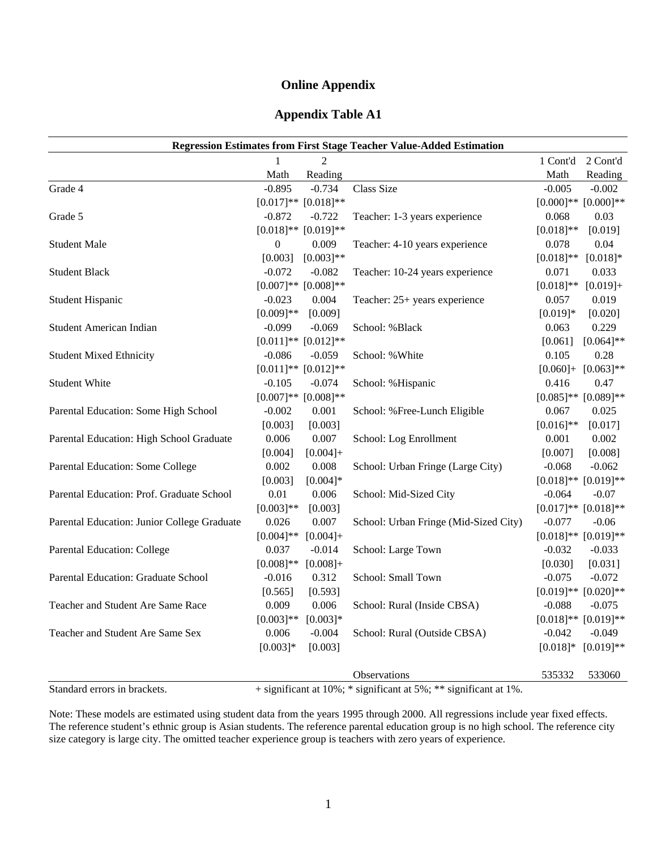### **Online Appendix**

### **Appendix Table A1**

|                                             |                  |                               | <b>Regression Estimates from First Stage Teacher Value-Added Estimation</b>                                                                   |              |                               |
|---------------------------------------------|------------------|-------------------------------|-----------------------------------------------------------------------------------------------------------------------------------------------|--------------|-------------------------------|
|                                             |                  |                               |                                                                                                                                               |              | 1 Cont'd 2 Cont'd             |
|                                             | Math             | Reading                       |                                                                                                                                               | Math         | Reading                       |
| Grade 4                                     | $-0.895$         | $-0.734$                      | <b>Class Size</b>                                                                                                                             | $-0.005$     | $-0.002$                      |
|                                             |                  | $[0.017]$ ** $[0.018]$ **     |                                                                                                                                               |              | $[0.000]$ ** $[0.000]$ **     |
| Grade 5                                     | $-0.872$         | $-0.722$                      | Teacher: 1-3 years experience                                                                                                                 | 0.068        | 0.03                          |
|                                             |                  | $[0.018]**[0.019]**$          |                                                                                                                                               | $[0.018]**$  | [0.019]                       |
| <b>Student Male</b>                         | $\boldsymbol{0}$ | 0.009                         | Teacher: 4-10 years experience                                                                                                                | 0.078        | 0.04                          |
|                                             | [0.003]          | $[0.003]**$                   |                                                                                                                                               | $[0.018]**$  | $[0.018]*$                    |
| <b>Student Black</b>                        | $-0.072$         | $-0.082$                      | Teacher: 10-24 years experience                                                                                                               | 0.071        | 0.033                         |
|                                             |                  | $[0.007]^{**}$ $[0.008]^{**}$ |                                                                                                                                               | $[0.018]*$   | $[0.019]+$                    |
| <b>Student Hispanic</b>                     | $-0.023$         | 0.004                         | Teacher: 25+ years experience                                                                                                                 | 0.057        | 0.019                         |
|                                             | $[0.009]**$      | [0.009]                       |                                                                                                                                               | $[0.019]*$   | [0.020]                       |
| <b>Student American Indian</b>              | $-0.099$         | $-0.069$                      | School: %Black                                                                                                                                | 0.063        | 0.229                         |
|                                             |                  | $[0.011]$ ** $[0.012]$ **     |                                                                                                                                               | [0.061]      | $[0.064]$ **                  |
| <b>Student Mixed Ethnicity</b>              | $-0.086$         | $-0.059$                      | School: % White                                                                                                                               | 0.105        | 0.28                          |
|                                             |                  | $[0.011]$ ** $[0.012]$ **     |                                                                                                                                               | $[0.060]+$   | $[0.063]$ **                  |
| <b>Student White</b>                        | $-0.105$         | $-0.074$                      | School: %Hispanic                                                                                                                             | 0.416        | 0.47                          |
|                                             |                  | $[0.007]$ ** $[0.008]$ **     |                                                                                                                                               |              | $[0.085]^{**}$ $[0.089]^{**}$ |
| Parental Education: Some High School        | $-0.002$         | 0.001                         | School: %Free-Lunch Eligible                                                                                                                  | 0.067        | 0.025                         |
|                                             | [0.003]          | [0.003]                       |                                                                                                                                               | $[0.016]$ ** | [0.017]                       |
| Parental Education: High School Graduate    | 0.006            | 0.007                         | School: Log Enrollment                                                                                                                        | 0.001        | 0.002                         |
|                                             | [0.004]          | $[0.004]+$                    |                                                                                                                                               | [0.007]      | [0.008]                       |
| Parental Education: Some College            | 0.002            | 0.008                         | School: Urban Fringe (Large City)                                                                                                             | $-0.068$     | $-0.062$                      |
|                                             | [0.003]          | $[0.004]*$                    |                                                                                                                                               |              | $[0.018]**[0.019]**$          |
| Parental Education: Prof. Graduate School   | 0.01             | 0.006                         | School: Mid-Sized City                                                                                                                        | $-0.064$     | $-0.07$                       |
|                                             | $[0.003]**$      | [0.003]                       |                                                                                                                                               |              | $[0.017]$ ** $[0.018]$ **     |
| Parental Education: Junior College Graduate | 0.026            | 0.007                         | School: Urban Fringe (Mid-Sized City)                                                                                                         | $-0.077$     | $-0.06$                       |
|                                             | $[0.004]$ **     | $[0.004]+$                    |                                                                                                                                               |              | $[0.018]**[0.019]**$          |
| Parental Education: College                 | 0.037            | $-0.014$                      | School: Large Town                                                                                                                            | $-0.032$     | $-0.033$                      |
|                                             | $[0.008]**$      | $[0.008]+$                    |                                                                                                                                               | [0.030]      | [0.031]                       |
| Parental Education: Graduate School         | $-0.016$         | 0.312                         | School: Small Town                                                                                                                            | $-0.075$     | $-0.072$                      |
|                                             | [0.565]          | [0.593]                       |                                                                                                                                               |              | $[0.019]**[0.020]**$          |
| Teacher and Student Are Same Race           | 0.009            | 0.006                         | School: Rural (Inside CBSA)                                                                                                                   | $-0.088$     | $-0.075$                      |
|                                             | $[0.003]**$      | $[0.003]*$                    |                                                                                                                                               |              | $[0.018]**[0.019]**$          |
| Teacher and Student Are Same Sex            | 0.006            | $-0.004$                      | School: Rural (Outside CBSA)                                                                                                                  | $-0.042$     | $-0.049$                      |
|                                             | $[0.003]*$       | [0.003]                       |                                                                                                                                               | $[0.018]*$   | $[0.019]**$                   |
|                                             |                  |                               | Observations                                                                                                                                  | 535332       | 533060                        |
| Chain diamed a magnetic demonstrate         |                  |                               | $(1.2)$ and $\mathcal{L}_{2}$ and at 100/ $\pm$ 2 alone $\mathcal{L}_{2}$ and at $\mathcal{L}0$ / $\pm$ 28 alone $\mathcal{L}_{2}$ and at 10/ |              |                               |

Standard errors in brackets. + significant at 10%; \* significant at 5%; \*\* significant at 1%.

Note: These models are estimated using student data from the years 1995 through 2000. All regressions include year fixed effects. The reference student's ethnic group is Asian students. The reference parental education group is no high school. The reference city size category is large city. The omitted teacher experience group is teachers with zero years of experience.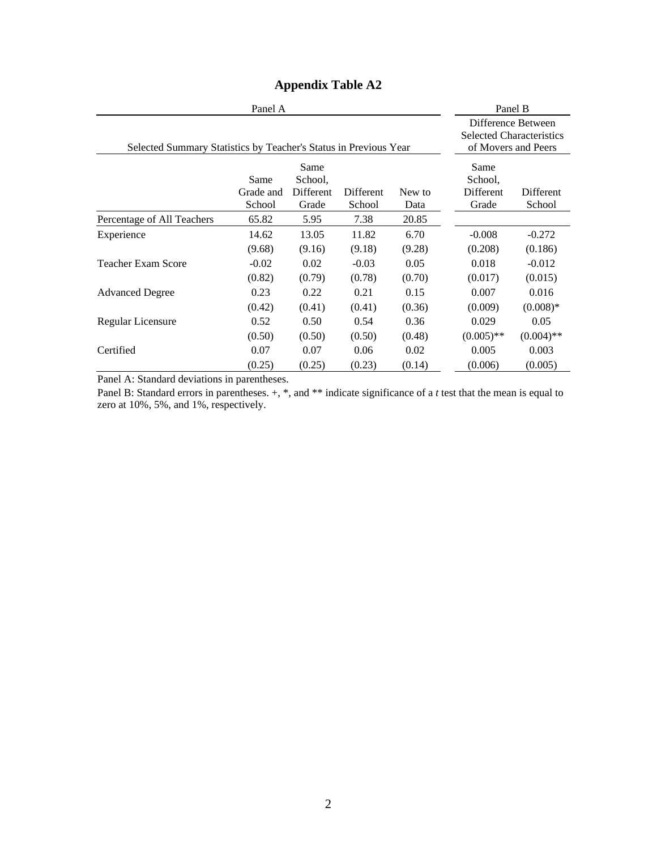|                                                                  | Panel B                     |                                       |                     |                |                                       |                                                                              |
|------------------------------------------------------------------|-----------------------------|---------------------------------------|---------------------|----------------|---------------------------------------|------------------------------------------------------------------------------|
| Selected Summary Statistics by Teacher's Status in Previous Year |                             |                                       |                     |                |                                       | Difference Between<br><b>Selected Characteristics</b><br>of Movers and Peers |
|                                                                  | Same<br>Grade and<br>School | Same<br>School.<br>Different<br>Grade | Different<br>School | New to<br>Data | Same<br>School.<br>Different<br>Grade | Different<br>School                                                          |
| Percentage of All Teachers                                       | 65.82                       | 5.95                                  | 7.38                | 20.85          |                                       |                                                                              |
| Experience                                                       | 14.62                       | 13.05                                 | 11.82               | 6.70           | $-0.008$                              | $-0.272$                                                                     |
|                                                                  | (9.68)                      | (9.16)                                | (9.18)              | (9.28)         | (0.208)                               | (0.186)                                                                      |
| <b>Teacher Exam Score</b>                                        | $-0.02$                     | 0.02                                  | $-0.03$             | 0.05           | 0.018                                 | $-0.012$                                                                     |
|                                                                  | (0.82)                      | (0.79)                                | (0.78)              | (0.70)         | (0.017)                               | (0.015)                                                                      |
| <b>Advanced Degree</b>                                           | 0.23                        | 0.22                                  | 0.21                | 0.15           | 0.007                                 | 0.016                                                                        |
|                                                                  | (0.42)                      | (0.41)                                | (0.41)              | (0.36)         | (0.009)                               | $(0.008)*$                                                                   |
| Regular Licensure                                                | 0.52                        | 0.50                                  | 0.54                | 0.36           | 0.029                                 | 0.05                                                                         |
|                                                                  | (0.50)                      | (0.50)                                | (0.50)              | (0.48)         | $(0.005)$ **                          | $(0.004)$ **                                                                 |
| Certified                                                        | 0.07                        | 0.07                                  | 0.06                | 0.02           | 0.005                                 | 0.003                                                                        |
|                                                                  | (0.25)                      | (0.25)                                | (0.23)              | (0.14)         | (0.006)                               | (0.005)                                                                      |

# **Appendix Table A2**

Panel A: Standard deviations in parentheses.

Panel B: Standard errors in parentheses.  $+$ ,  $*$ , and  $**$  indicate significance of a *t* test that the mean is equal to zero at 10%, 5%, and 1%, respectively.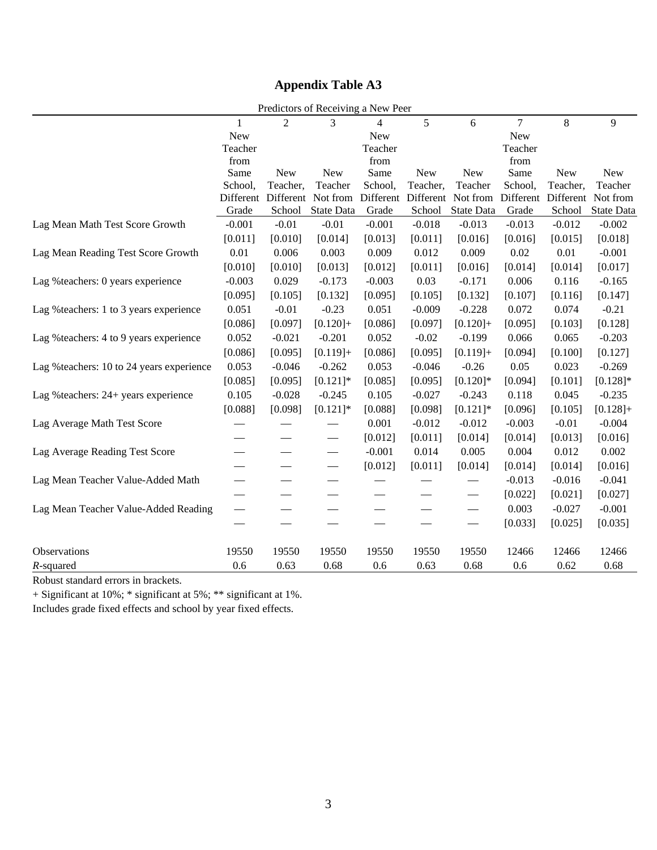# **Appendix Table A3**

| Predictors of Receiving a New Peer                   |                    |                          |                          |                    |                     |                        |                    |                     |                        |  |
|------------------------------------------------------|--------------------|--------------------------|--------------------------|--------------------|---------------------|------------------------|--------------------|---------------------|------------------------|--|
|                                                      | 1                  | $\overline{2}$           | 3                        | 4                  | 5                   | 6                      | 7                  | $\,8\,$             | 9                      |  |
|                                                      | New                |                          |                          | New                |                     |                        | New                |                     |                        |  |
|                                                      | Teacher            |                          |                          | Teacher            |                     |                        | Teacher            |                     |                        |  |
|                                                      | from               |                          |                          | from               |                     |                        | from               |                     |                        |  |
|                                                      | Same               | <b>New</b>               | <b>New</b>               | Same               | <b>New</b>          | <b>New</b>             | Same               | <b>New</b>          | <b>New</b>             |  |
|                                                      | School,            | Teacher,                 | Teacher                  | School,            | Teacher,            | Teacher                | School,            | Teacher,            | Teacher                |  |
|                                                      | Different<br>Grade | Different<br>School      | Not from<br>State Data   | Different<br>Grade | Different<br>School | Not from<br>State Data | Different<br>Grade | Different<br>School | Not from<br>State Data |  |
| Lag Mean Math Test Score Growth                      | $-0.001$           | $-0.01$                  | $-0.01$                  | $-0.001$           | $-0.018$            | $-0.013$               | $-0.013$           | $-0.012$            | $-0.002$               |  |
|                                                      | [0.011]            | [0.010]                  | [0.014]                  | [0.013]            | [0.011]             | [0.016]                | [0.016]            | [0.015]             | [0.018]                |  |
|                                                      | $0.01\,$           | 0.006                    | 0.003                    | 0.009              | 0.012               | 0.009                  | 0.02               | 0.01                | $-0.001$               |  |
| Lag Mean Reading Test Score Growth                   |                    |                          |                          |                    |                     |                        |                    |                     |                        |  |
|                                                      | [0.010]            | [0.010]                  | [0.013]                  | [0.012]            | [0.011]             | [0.016]                | [0.014]            | [0.014]             | [0.017]                |  |
| Lag % teachers: 0 years experience                   | $-0.003$           | 0.029                    | $-0.173$                 | $-0.003$           | 0.03                | $-0.171$               | 0.006              | 0.116               | $-0.165$               |  |
|                                                      | [0.095]            | [0.105]                  | [0.132]                  | [0.095]            | [0.105]             | [0.132]                | [0.107]            | [0.116]             | [0.147]                |  |
| Lag % teachers: 1 to 3 years experience              | 0.051              | $-0.01$                  | $-0.23$                  | 0.051              | $-0.009$            | $-0.228$               | 0.072              | 0.074               | $-0.21$                |  |
|                                                      | [0.086]            | [0.097]                  | $[0.120]+$               | [0.086]            | [0.097]             | $[0.120]+$             | [0.095]            | [0.103]             | [0.128]                |  |
| Lag % teachers: 4 to 9 years experience              | 0.052              | $-0.021$                 | $-0.201$                 | 0.052              | $-0.02$             | $-0.199$               | 0.066              | 0.065               | $-0.203$               |  |
|                                                      | [0.086]            | [0.095]                  | $[0.119]+$               | [0.086]            | [0.095]             | $[0.119]+$             | [0.094]            | [0.100]             | [0.127]                |  |
| Lag % teachers: 10 to 24 years experience            | 0.053              | $-0.046$                 | $-0.262$                 | 0.053              | $-0.046$            | $-0.26$                | 0.05               | 0.023               | $-0.269$               |  |
|                                                      | [0.085]            | [0.095]                  | $[0.121]$ *              | [0.085]            | [0.095]             | $[0.120]$ *            | [0.094]            | [0.101]             | $[0.128]$ *            |  |
| Lag % teachers: 24+ years experience                 | 0.105              | $-0.028$                 | $-0.245$                 | 0.105              | $-0.027$            | $-0.243$               | 0.118              | 0.045               | $-0.235$               |  |
|                                                      | [0.088]            | [0.098]                  | $[0.121]$ *              | [0.088]            | [0.098]             | $[0.121]$ *            | [0.096]            | [0.105]             | $[0.128]+$             |  |
| Lag Average Math Test Score                          |                    |                          | $\overline{\phantom{0}}$ | 0.001              | $-0.012$            | $-0.012$               | $-0.003$           | $-0.01$             | $-0.004$               |  |
|                                                      |                    |                          | $\overline{\phantom{0}}$ | [0.012]            | [0.011]             | [0.014]                | [0.014]            | [0.013]             | [0.016]                |  |
| Lag Average Reading Test Score                       |                    |                          |                          | $-0.001$           | 0.014               | 0.005                  | 0.004              | 0.012               | 0.002                  |  |
|                                                      |                    |                          |                          | [0.012]            | [0.011]             | [0.014]                | [0.014]            | [0.014]             | [0.016]                |  |
| Lag Mean Teacher Value-Added Math                    |                    |                          |                          |                    |                     |                        | $-0.013$           | $-0.016$            | $-0.041$               |  |
|                                                      |                    |                          |                          |                    |                     |                        | [0.022]            | [0.021]             | [0.027]                |  |
| Lag Mean Teacher Value-Added Reading                 |                    | $\overline{\phantom{0}}$ | $\overline{\phantom{0}}$ |                    |                     |                        | 0.003              | $-0.027$            | $-0.001$               |  |
|                                                      |                    |                          |                          |                    |                     |                        | [0.033]            | [0.025]             | [0.035]                |  |
|                                                      |                    |                          |                          |                    |                     |                        |                    |                     |                        |  |
| Observations                                         | 19550              | 19550                    | 19550                    | 19550              | 19550               | 19550                  | 12466              | 12466               | 12466                  |  |
| $R$ -squared                                         | 0.6                | 0.63                     | 0.68                     | 0.6                | 0.63                | 0.68                   | 0.6                | 0.62                | 0.68                   |  |
| $\sim$ $\sim$ $\sim$<br>$\mathbf{1}$<br>$\mathbf{r}$ |                    |                          |                          |                    |                     |                        |                    |                     |                        |  |

Robust standard errors in brackets.

+ Significant at 10%; \* significant at 5%; \*\* significant at 1%.

Includes grade fixed effects and school by year fixed effects.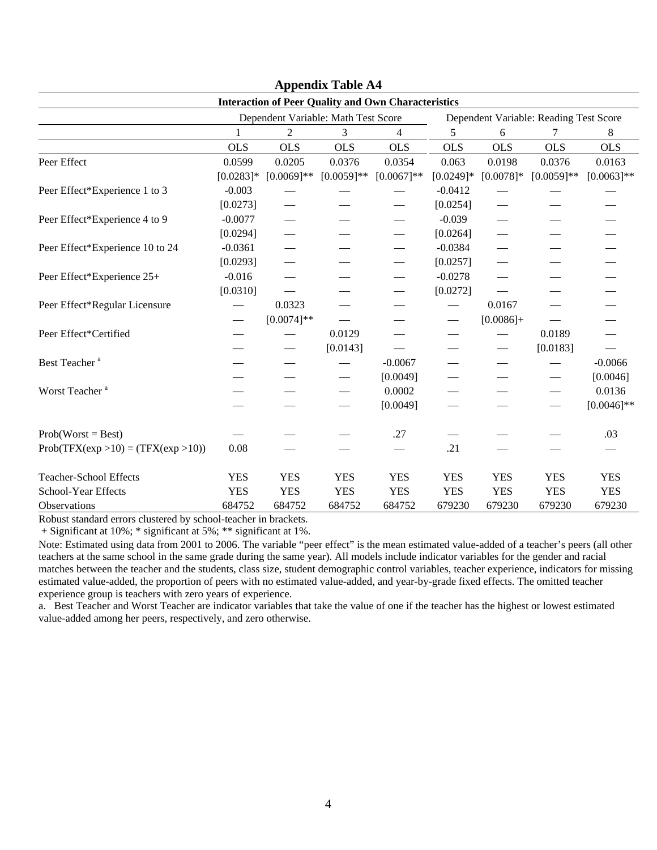|                                      |              |                                     |               | <b>Interaction of Peer Quality and Own Characteristics</b> |                                        |                               |              |               |  |
|--------------------------------------|--------------|-------------------------------------|---------------|------------------------------------------------------------|----------------------------------------|-------------------------------|--------------|---------------|--|
|                                      |              | Dependent Variable: Math Test Score |               |                                                            | Dependent Variable: Reading Test Score |                               |              |               |  |
|                                      | $\mathbf{1}$ | $\overline{2}$                      | 3             | 4                                                          | 5                                      | 6                             | 7            | 8             |  |
|                                      | <b>OLS</b>   | <b>OLS</b>                          | <b>OLS</b>    | <b>OLS</b>                                                 | <b>OLS</b>                             | <b>OLS</b>                    | <b>OLS</b>   | <b>OLS</b>    |  |
| Peer Effect                          | 0.0599       | 0.0205                              | 0.0376        | 0.0354                                                     | 0.063                                  | 0.0198                        | 0.0376       | 0.0163        |  |
|                                      | $[0.0283]$ * | $[0.0069]**$                        | $[0.0059]$ ** | $[0.0067]**$                                               | $[0.0249]*$                            | $[0.0078]*$                   | $[0.0059]**$ | $[0.0063]$ ** |  |
| Peer Effect*Experience 1 to 3        | $-0.003$     |                                     |               |                                                            | $-0.0412$                              |                               |              |               |  |
|                                      | [0.0273]     |                                     |               |                                                            | [0.0254]                               |                               |              |               |  |
| Peer Effect*Experience 4 to 9        | $-0.0077$    | $\overline{\phantom{0}}$            |               |                                                            | $-0.039$                               |                               |              |               |  |
|                                      | [0.0294]     |                                     |               |                                                            | [0.0264]                               |                               |              |               |  |
| Peer Effect*Experience 10 to 24      | $-0.0361$    |                                     |               |                                                            | $-0.0384$                              |                               |              |               |  |
|                                      | [0.0293]     | $\overline{\phantom{0}}$            |               |                                                            | [0.0257]                               |                               |              |               |  |
| Peer Effect*Experience 25+           | $-0.016$     |                                     |               |                                                            | $-0.0278$                              |                               |              |               |  |
|                                      | [0.0310]     |                                     |               |                                                            | [0.0272]                               |                               |              |               |  |
| Peer Effect*Regular Licensure        |              | 0.0323                              |               |                                                            |                                        | 0.0167                        |              |               |  |
|                                      |              | $[0.0074]$ **                       |               |                                                            | $\overbrace{\phantom{13333}}$          | $[0.0086]+$                   |              |               |  |
| Peer Effect*Certified                |              |                                     | 0.0129        |                                                            |                                        |                               | 0.0189       |               |  |
|                                      |              |                                     | [0.0143]      |                                                            |                                        | $\overbrace{\phantom{13333}}$ | [0.0183]     |               |  |
| Best Teacher <sup>a</sup>            |              |                                     |               | $-0.0067$                                                  |                                        |                               |              | $-0.0066$     |  |
|                                      |              |                                     |               | [0.0049]                                                   |                                        |                               |              | [0.0046]      |  |
| Worst Teacher <sup>a</sup>           |              |                                     |               | 0.0002                                                     |                                        |                               |              | 0.0136        |  |
|                                      |              |                                     |               | [0.0049]                                                   |                                        |                               |              | $[0.0046]$ ** |  |
| $Prob(Worst = Best)$                 |              |                                     |               | .27                                                        |                                        |                               |              | .03           |  |
| $Prob(TFX(exp >10) = (TFX(exp >10))$ | 0.08         |                                     |               |                                                            | .21                                    |                               |              |               |  |
| <b>Teacher-School Effects</b>        | <b>YES</b>   | <b>YES</b>                          | <b>YES</b>    | <b>YES</b>                                                 | <b>YES</b>                             | <b>YES</b>                    | <b>YES</b>   | <b>YES</b>    |  |
| School-Year Effects                  | <b>YES</b>   | <b>YES</b>                          | <b>YES</b>    | <b>YES</b>                                                 | <b>YES</b>                             | <b>YES</b>                    | <b>YES</b>   | <b>YES</b>    |  |
| Observations                         | 684752       | 684752                              | 684752        | 684752                                                     | 679230                                 | 679230                        | 679230       | 679230        |  |

**Appendix Table A4** 

Robust standard errors clustered by school-teacher in brackets.

+ Significant at 10%; \* significant at 5%; \*\* significant at 1%.

Note: Estimated using data from 2001 to 2006. The variable "peer effect" is the mean estimated value-added of a teacher's peers (all other teachers at the same school in the same grade during the same year). All models include indicator variables for the gender and racial matches between the teacher and the students, class size, student demographic control variables, teacher experience, indicators for missing estimated value-added, the proportion of peers with no estimated value-added, and year-by-grade fixed effects. The omitted teacher experience group is teachers with zero years of experience.

a. Best Teacher and Worst Teacher are indicator variables that take the value of one if the teacher has the highest or lowest estimated value-added among her peers, respectively, and zero otherwise.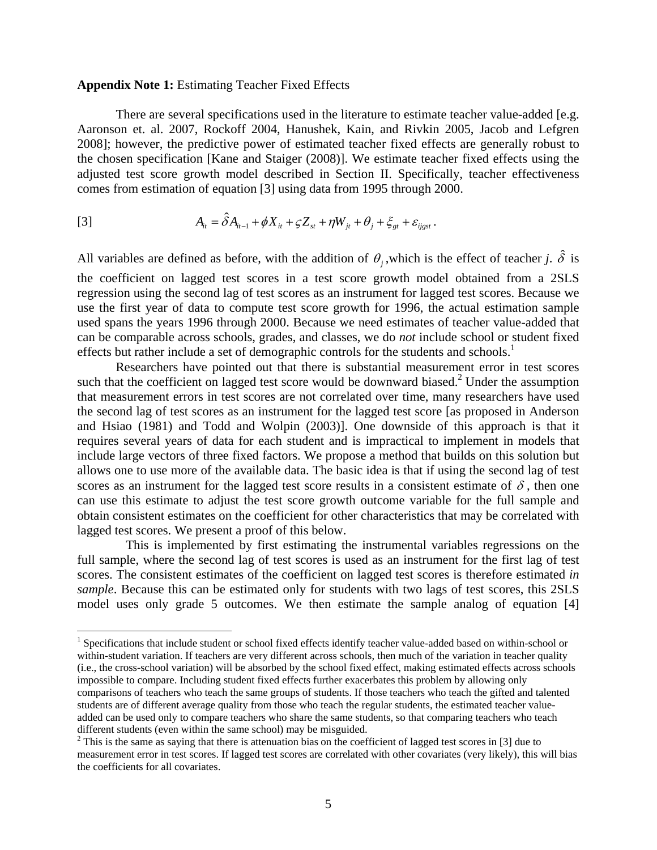#### **Appendix Note 1:** Estimating Teacher Fixed Effects

1

There are several specifications used in the literature to estimate teacher value-added [e.g. Aaronson et. al. 2007, Rockoff 2004, Hanushek, Kain, and Rivkin 2005, Jacob and Lefgren 2008]; however, the predictive power of estimated teacher fixed effects are generally robust to the chosen specification [Kane and Staiger (2008)]. We estimate teacher fixed effects using the adjusted test score growth model described in Section II. Specifically, teacher effectiveness comes from estimation of equation [3] using data from 1995 through 2000.

[3] 
$$
A_{ii} = \hat{\delta} A_{ii-1} + \phi X_{ii} + \zeta Z_{st} + \eta W_{ji} + \theta_j + \xi_{gt} + \varepsilon_{ijgst}.
$$

All variables are defined as before, with the addition of  $\theta$ , which is the effect of teacher *j*.  $\hat{\delta}$  is the coefficient on lagged test scores in a test score growth model obtained from a 2SLS regression using the second lag of test scores as an instrument for lagged test scores. Because we use the first year of data to compute test score growth for 1996, the actual estimation sample used spans the years 1996 through 2000. Because we need estimates of teacher value-added that can be comparable across schools, grades, and classes, we do *not* include school or student fixed effects but rather include a set of demographic controls for the students and schools.<sup>1</sup>

Researchers have pointed out that there is substantial measurement error in test scores such that the coefficient on lagged test score would be downward biased.<sup>2</sup> Under the assumption that measurement errors in test scores are not correlated over time, many researchers have used the second lag of test scores as an instrument for the lagged test score [as proposed in Anderson and Hsiao (1981) and Todd and Wolpin (2003)]. One downside of this approach is that it requires several years of data for each student and is impractical to implement in models that include large vectors of three fixed factors. We propose a method that builds on this solution but allows one to use more of the available data. The basic idea is that if using the second lag of test scores as an instrument for the lagged test score results in a consistent estimate of  $\delta$ , then one can use this estimate to adjust the test score growth outcome variable for the full sample and obtain consistent estimates on the coefficient for other characteristics that may be correlated with lagged test scores. We present a proof of this below.

This is implemented by first estimating the instrumental variables regressions on the full sample, where the second lag of test scores is used as an instrument for the first lag of test scores. The consistent estimates of the coefficient on lagged test scores is therefore estimated *in sample*. Because this can be estimated only for students with two lags of test scores, this 2SLS model uses only grade 5 outcomes. We then estimate the sample analog of equation [4]

<sup>&</sup>lt;sup>1</sup> Specifications that include student or school fixed effects identify teacher value-added based on within-school or within-student variation. If teachers are very different across schools, then much of the variation in teacher quality (i.e., the cross-school variation) will be absorbed by the school fixed effect, making estimated effects across schools impossible to compare. Including student fixed effects further exacerbates this problem by allowing only comparisons of teachers who teach the same groups of students. If those teachers who teach the gifted and talented students are of different average quality from those who teach the regular students, the estimated teacher valueadded can be used only to compare teachers who share the same students, so that comparing teachers who teach different students (even within the same school) may be misguided.

 $2^2$  This is the same as saying that there is attenuation bias on the coefficient of lagged test scores in [3] due to measurement error in test scores. If lagged test scores are correlated with other covariates (very likely), this will bias the coefficients for all covariates.